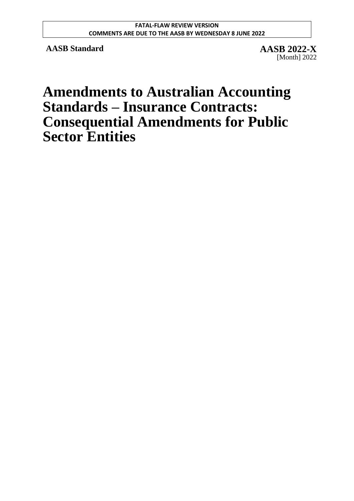**AASB Standard AASB 2022-X**

[Month] 2022

# **Amendments to Australian Accounting Standards – Insurance Contracts: Consequential Amendments for Public Sector Entities**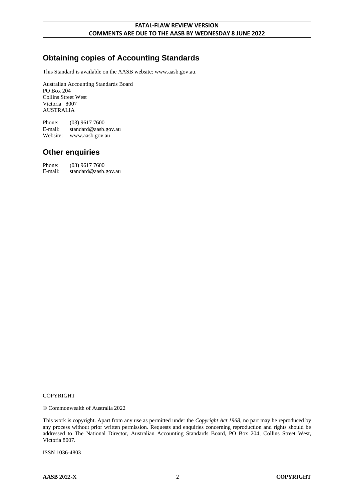# **Obtaining copies of Accounting Standards**

This Standard is available on the AASB website: www.aasb.gov.au.

Australian Accounting Standards Board PO Box 204 Collins Street West Victoria 8007 AUSTRALIA

Phone: (03) 9617 7600 E-mail: standard@aasb.gov.au Website: www.aasb.gov.au

### **Other enquiries**

| Phone:  | $(03)$ 9617 7600     |
|---------|----------------------|
| E-mail: | standard@aasb.gov.au |

#### COPYRIGHT

© Commonwealth of Australia 2022

This work is copyright. Apart from any use as permitted under the *Copyright Act 1968*, no part may be reproduced by any process without prior written permission. Requests and enquiries concerning reproduction and rights should be addressed to The National Director, Australian Accounting Standards Board, PO Box 204, Collins Street West, Victoria 8007.

ISSN 1036-4803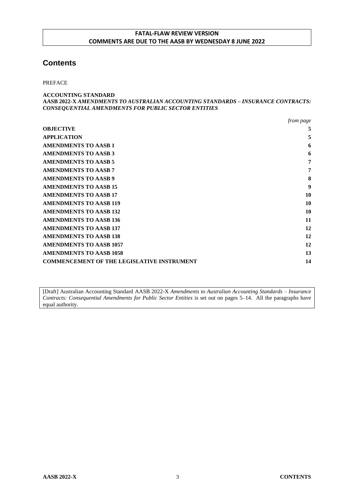### **Contents**

PREFACE

```
ACCOUNTING STANDARD
AASB 2022-X AMENDMENTS TO AUSTRALIAN ACCOUNTING STANDARDS – INSURANCE CONTRACTS:
CONSEQUENTIAL AMENDMENTS FOR PUBLIC SECTOR ENTITIES
```

|                                                   | from page |
|---------------------------------------------------|-----------|
| <b>OBJECTIVE</b>                                  | 5         |
| <b>APPLICATION</b>                                | 5         |
| <b>AMENDMENTS TO AASB 1</b>                       | 6         |
| <b>AMENDMENTS TO AASB 3</b>                       | 6         |
| <b>AMENDMENTS TO AASB 5</b>                       | 7         |
| <b>AMENDMENTS TO AASB 7</b>                       | 7         |
| <b>AMENDMENTS TO AASB 9</b>                       | 8         |
| <b>AMENDMENTS TO AASB 15</b>                      | 9         |
| <b>AMENDMENTS TO AASB 17</b>                      | 10        |
| <b>AMENDMENTS TO AASB 119</b>                     | 10        |
| <b>AMENDMENTS TO AASB 132</b>                     | 10        |
| <b>AMENDMENTS TO AASB 136</b>                     | 11        |
| <b>AMENDMENTS TO AASB 137</b>                     | 12        |
| <b>AMENDMENTS TO AASB 138</b>                     | 12        |
| <b>AMENDMENTS TO AASB 1057</b>                    | 12        |
| <b>AMENDMENTS TO AASB 1058</b>                    | 13        |
| <b>COMMENCEMENT OF THE LEGISLATIVE INSTRUMENT</b> | 14        |

[Draft] Australian Accounting Standard AASB 2022-X *Amendments to Australian Accounting Standards – Insurance Contracts: Consequential Amendments for Public Sector Entities* is set out on pages 5–14. All the paragraphs have equal authority.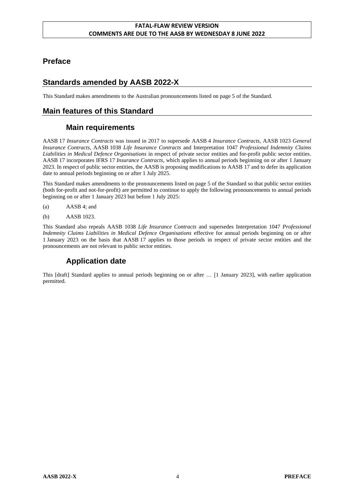## **Preface**

# **Standards amended by AASB 2022-X**

This Standard makes amendments to the Australian pronouncements listed on page 5 of the Standard.

# **Main features of this Standard**

# **Main requirements**

AASB 17 *Insurance Contracts* was issued in 2017 to supersede AASB 4 *Insurance Contracts*, AASB 1023 *General Insurance Contracts*, AASB 1038 *Life Insurance Contracts* and Interpretation 1047 *Professional Indemnity Claims Liabilities in Medical Defence Organisations* in respect of private sector entities and for-profit public sector entities. AASB 17 incorporates IFRS 17 *Insurance Contracts*, which applies to annual periods beginning on or after 1 January 2023. In respect of public sector entities, the AASB is proposing modifications to AASB 17 and to defer its application date to annual periods beginning on or after 1 July 2025.

This Standard makes amendments to the pronouncements listed on page 5 of the Standard so that public sector entities (both for-profit and not-for-profit) are permitted to continue to apply the following pronouncements to annual periods beginning on or after 1 January 2023 but before 1 July 2025:

- (a) AASB 4; and
- (b) AASB 1023.

This Standard also repeals AASB 1038 *Life Insurance Contracts* and supersedes Interpretation 1047 *Professional Indemnity Claims Liabilities in Medical Defence Organisations* effective for annual periods beginning on or after 1 January 2023 on the basis that AASB 17 applies to those periods in respect of private sector entities and the pronouncements are not relevant to public sector entities.

# **Application date**

This [draft] Standard applies to annual periods beginning on or after … [1 January 2023], with earlier application permitted.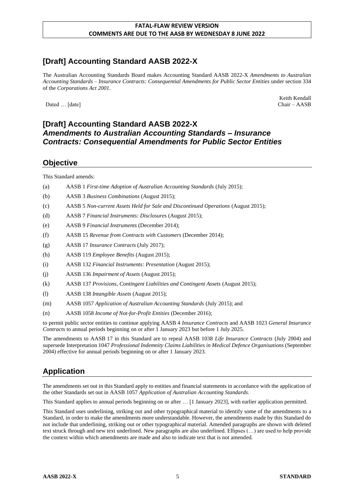# **[Draft] Accounting Standard AASB 2022-X**

The Australian Accounting Standards Board makes Accounting Standard AASB 2022-X *Amendments to Australian Accounting Standards – Insurance Contracts: Consequential Amendments for Public Sector Entities* under section 334 of the *Corporations Act 2001*.

Dated … [date] Chair – AASB Chair – AASB

Keith Kendall

### **[Draft] Accounting Standard AASB 2022-X** *Amendments to Australian Accounting Standards – Insurance Contracts: Consequential Amendments for Public Sector Entities*

### **Objective**

This Standard amends:

- (a) AASB 1 *First-time Adoption of Australian Accounting Standards* (July 2015);
- (b) AASB 3 *Business Combinations* (August 2015);
- (c) AASB 5 *Non-current Assets Held for Sale and Discontinued Operations* (August 2015);
- (d) AASB 7 *Financial Instruments: Disclosures* (August 2015);
- (e) AASB 9 *Financial Instruments* (December 2014);
- (f) AASB 15 *Revenue from Contracts with Customers* (December 2014);
- (g) AASB 17 *Insurance Contracts* (July 2017);
- (h) AASB 119 *Employee Benefits* (August 2015);
- (i) AASB 132 *Financial Instruments: Presentation* (August 2015);
- (j) AASB 136 *Impairment of Assets* (August 2015);
- (k) AASB 137 *Provisions, Contingent Liabilities and Contingent Assets* (August 2015);
- (l) AASB 138 *Intangible Assets* (August 2015);
- (m) AASB 1057 *Application of Australian Accounting Standards* (July 2015); and
- (n) AASB 1058 *Income of Not-for-Profit Entities* (December 2016);

to permit public sector entities to continue applying AASB 4 *Insurance Contracts* and AASB 1023 *General Insurance Contracts* to annual periods beginning on or after 1 January 2023 but before 1 July 2025.

The amendments to AASB 17 in this Standard are to repeal AASB 1038 *Life Insurance Contracts* (July 2004) and supersede Interpretation 1047 *Professional Indemnity Claims Liabilities in Medical Defence Organisations* (September 2004) effective for annual periods beginning on or after 1 January 2023.

# **Application**

The amendments set out in this Standard apply to entities and financial statements in accordance with the application of the other Standards set out in AASB 1057 *Application of Australian Accounting Standards*.

This Standard applies to annual periods beginning on or after … [1 January 2023], with earlier application permitted.

This Standard uses underlining, striking out and other typographical material to identify some of the amendments to a Standard, in order to make the amendments more understandable. However, the amendments made by this Standard do not include that underlining, striking out or other typographical material. Amended paragraphs are shown with deleted text struck through and new text underlined. New paragraphs are also underlined. Ellipses (…) are used to help provide the context within which amendments are made and also to indicate text that is not amended.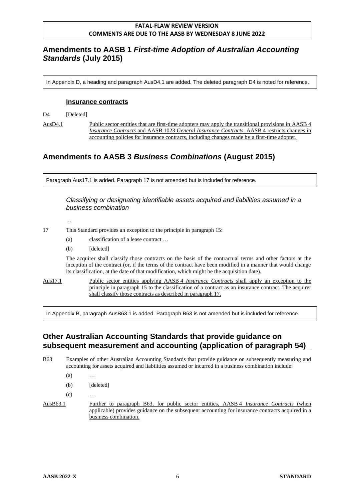### **Amendments to AASB 1** *First-time Adoption of Australian Accounting Standards* **(July 2015)**

In Appendix D, a heading and paragraph AusD4.1 are added. The deleted paragraph D4 is noted for reference.

#### **Insurance contracts**

D<sub>4</sub> [Deleted]

AusD4.1 Public sector entities that are first-time adopters may apply the transitional provisions in AASB 4 *Insurance Contracts* and AASB 1023 *General Insurance Contracts*. AASB 4 restricts changes in accounting policies for insurance contracts, including changes made by a first-time adopter.

# **Amendments to AASB 3** *Business Combinations* **(August 2015)**

Paragraph Aus17.1 is added. Paragraph 17 is not amended but is included for reference.

#### *Classifying or designating identifiable assets acquired and liabilities assumed in a business combination*

- …
- 17 This Standard provides an exception to the principle in paragraph 15:
	- (a) classification of a lease contract …
	- (b) [deleted]

The acquirer shall classify those contracts on the basis of the contractual terms and other factors at the inception of the contract (or, if the terms of the contract have been modified in a manner that would change its classification, at the date of that modification, which might be the acquisition date).

Aus17.1 Public sector entities applying AASB 4 *Insurance Contracts* shall apply an exception to the principle in paragraph 15 to the classification of a contract as an insurance contract. The acquirer shall classify those contracts as described in paragraph 17.

In Appendix B, paragraph AusB63.1 is added. Paragraph B63 is not amended but is included for reference.

### **Other Australian Accounting Standards that provide guidance on subsequent measurement and accounting (application of paragraph 54)**

B63 Examples of other Australian Accounting Standards that provide guidance on subsequently measuring and accounting for assets acquired and liabilities assumed or incurred in a business combination include:

- (a) …
- (b) [deleted]

 $(c)$  …

AusB63.1 Further to paragraph B63, for public sector entities, AASB 4 *Insurance Contracts* (when applicable) provides guidance on the subsequent accounting for insurance contracts acquired in a business combination.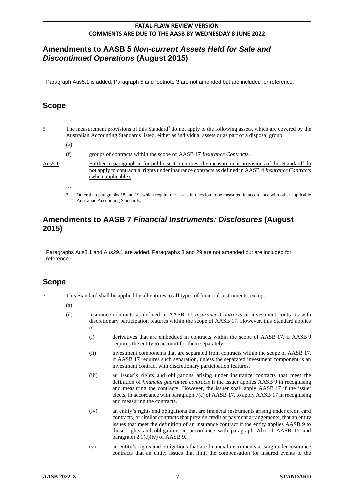## **Amendments to AASB 5** *Non-current Assets Held for Sale and Discontinued Operations* **(August 2015)**

Paragraph Aus5.1 is added. Paragraph 5 and footnote 3 are not amended but are included for reference.

### **Scope**

- 5 The measurement provisions of this Standard<sup>3</sup> do not apply to the following assets, which are covered by the Australian Accounting Standards listed, either as individual assets or as part of a disposal group:
	- $(a)$

…

…

(f) groups of contracts within the scope of AASB 17 *Insurance Contracts*.

Aus5.1 Further to paragraph 5, for public sector entities, the measurement provisions of this Standard<sup>3</sup> do not apply to contractual rights under insurance contracts as defined in AASB 4 *Insurance Contracts* (when applicable).

3 Other than paragraphs 18 and 19, which require the assets in question to be measured in accordance with other applicable Australian Accounting Standards.

### **Amendments to AASB 7** *Financial Instruments: Disclosures* **(August 2015)**

Paragraphs Aus3.1 and Aus29.1 are added. Paragraphs 3 and 29 are not amended but are included for reference.

- 3 This Standard shall be applied by all entities to all types of financial instruments, except:
	- $(a)$
	- (d) insurance contracts as defined in AASB 17 *Insurance Contracts* or investment contracts with discretionary participation features within the scope of AASB 17. However, this Standard applies to:
		- (i) derivatives that are embedded in contracts within the scope of AASB 17, if AASB 9 requires the entity to account for them separately.
		- (ii) investment components that are separated from contracts within the scope of AASB 17, if AASB 17 requires such separation, unless the separated investment component is an investment contract with discretionary participation features.
		- (iii) an issuer's rights and obligations arising under insurance contracts that meet the definition of *financial guarantee contracts* if the issuer applies AASB 9 in recognising and measuring the contracts. However, the issuer shall apply AASB 17 if the issuer elects, in accordance with paragraph 7(e) of AASB 17, to apply AASB 17 in recognising and measuring the contracts.
		- (iv) an entity's rights and obligations that are financial instruments arising under credit card contracts, or similar contracts that provide credit or payment arrangements, that an entity issues that meet the definition of an insurance contract if the entity applies AASB 9 to those rights and obligations in accordance with paragraph 7(h) of AASB 17 and paragraph 2.1(e)(iv) of AASB 9.
		- (v) an entity's rights and obligations that are financial instruments arising under insurance contracts that an entity issues that limit the compensation for insured events to the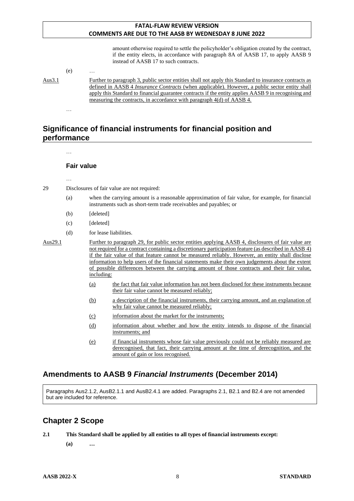amount otherwise required to settle the policyholder's obligation created by the contract, if the entity elects, in accordance with paragraph 8A of AASB 17, to apply AASB 9 instead of AASB 17 to such contracts.

(e) …

…

Aus3.1 Further to paragraph 3, public sector entities shall not apply this Standard to insurance contracts as defined in AASB 4 *Insurance Contracts* (when applicable). However, a public sector entity shall apply this Standard to financial guarantee contracts if the entity applies AASB 9 in recognising and measuring the contracts, in accordance with paragraph 4(d) of AASB 4.

# **Significance of financial instruments for financial position and performance**

… **Fair value** 29 Disclosures of fair value are not required: (a) when the carrying amount is a reasonable approximation of fair value, for example, for financial instruments such as short-term trade receivables and payables; or (b) [deleted] (c) [deleted] (d) for lease liabilities. Aus29.1 Further to paragraph 29, for public sector entities applying AASB 4, disclosures of fair value are not required for a contract containing a discretionary participation feature (as described in AASB 4) if the fair value of that feature cannot be measured reliably. However, an entity shall disclose information to help users of the financial statements make their own judgements about the extent of possible differences between the carrying amount of those contracts and their fair value, including: (a) the fact that fair value information has not been disclosed for these instruments because their fair value cannot be measured reliably; (b) a description of the financial instruments, their carrying amount, and an explanation of why fair value cannot be measured reliably; (c) information about the market for the instruments; (d) information about whether and how the entity intends to dispose of the financial instruments; and (e) if financial instruments whose fair value previously could not be reliably measured are derecognised, that fact, their carrying amount at the time of derecognition, and the amount of gain or loss recognised.

# **Amendments to AASB 9** *Financial Instruments* **(December 2014)**

Paragraphs Aus2.1.2, AusB2.1.1 and AusB2.4.1 are added. Paragraphs 2.1, B2.1 and B2.4 are not amended but are included for reference.

### **Chapter 2 Scope**

**2.1 This Standard shall be applied by all entities to all types of financial instruments except:**

**(a) …**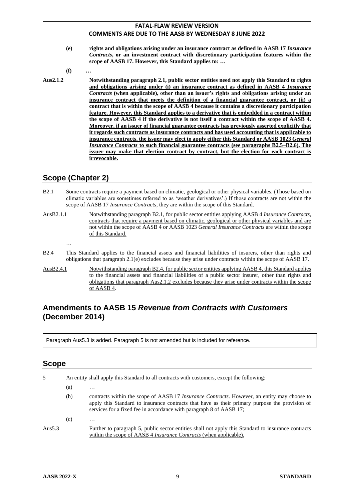**(e) rights and obligations arising under an insurance contract as defined in AASB 17** *Insurance Contracts***, or an investment contract with discretionary participation features within the scope of AASB 17. However, this Standard applies to: …**

**(f) …**

**Aus2.1.2 Notwithstanding paragraph 2.1, public sector entities need not apply this Standard to rights and obligations arising under (i) an insurance contract as defined in AASB 4** *Insurance Contracts* **(when applicable), other than an issuer's rights and obligations arising under an insurance contract that meets the definition of a financial guarantee contract, or (ii) a contract that is within the scope of AASB 4 because it contains a discretionary participation feature. However, this Standard applies to a derivative that is embedded in a contract within the scope of AASB 4 if the derivative is not itself a contract within the scope of AASB 4. Moreover, if an issuer of financial guarantee contracts has previously asserted explicitly that it regards such contracts as insurance contracts and has used accounting that is applicable to insurance contracts, the issuer may elect to apply either this Standard or AASB 1023** *General Insurance Contracts* **to such financial guarantee contracts (see paragraphs B2.5–B2.6). The issuer may make that election contract by contract, but the election for each contract is irrevocable.**

# **Scope (Chapter 2)**

- B2.1 Some contracts require a payment based on climatic, geological or other physical variables. (Those based on climatic variables are sometimes referred to as 'weather derivatives'.) If those contracts are not within the scope of AASB 17 *Insurance Contracts*, they are within the scope of this Standard.
- AusB2.1.1 Notwithstanding paragraph B2.1, for public sector entities applying AASB 4 *Insurance Contracts*, contracts that require a payment based on climatic, geological or other physical variables and are not within the scope of AASB 4 or AASB 1023 *General Insurance Contracts* are within the scope of this Standard.

…

- B2.4 This Standard applies to the financial assets and financial liabilities of insurers, other than rights and obligations that paragraph 2.1(e) excludes because they arise under contracts within the scope of AASB 17.
- AusB2.4.1 Notwithstanding paragraph B2.4, for public sector entities applying AASB 4, this Standard applies to the financial assets and financial liabilities of a public sector insurer, other than rights and obligations that paragraph Aus2.1.2 excludes because they arise under contracts within the scope of AASB 4.

# **Amendments to AASB 15** *Revenue from Contracts with Customers* **(December 2014)**

Paragraph Aus5.3 is added. Paragraph 5 is not amended but is included for reference.

| 5      | An entity shall apply this Standard to all contracts with customers, except the following: |                                                                                                                                                                                                                                                                              |
|--------|--------------------------------------------------------------------------------------------|------------------------------------------------------------------------------------------------------------------------------------------------------------------------------------------------------------------------------------------------------------------------------|
|        | (a)                                                                                        | $\cdots$                                                                                                                                                                                                                                                                     |
|        | (b)                                                                                        | contracts within the scope of AASB 17 <i>Insurance Contracts</i> . However, an entity may choose to<br>apply this Standard to insurance contracts that have as their primary purpose the provision of<br>services for a fixed fee in accordance with paragraph 8 of AASB 17; |
|        | (c)                                                                                        | $\cdots$                                                                                                                                                                                                                                                                     |
| Aus5.3 |                                                                                            | Further to paragraph 5, public sector entities shall not apply this Standard to insurance contracts<br>within the scope of AASB 4 <i>Insurance Contracts</i> (when applicable).                                                                                              |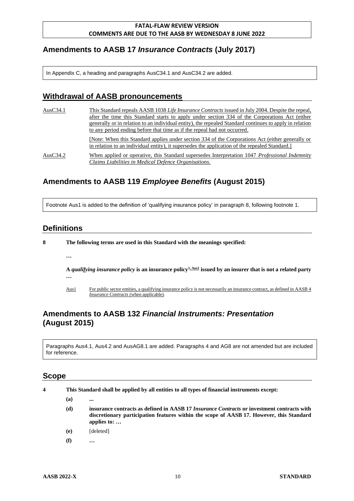# **Amendments to AASB 17** *Insurance Contracts* **(July 2017)**

In Appendix C, a heading and paragraphs AusC34.1 and AusC34.2 are added.

# **Withdrawal of AASB pronouncements**

| AusC34.1 | This Standard repeals AASB 1038 Life Insurance Contracts issued in July 2004. Despite the repeal,                                                                                                 |
|----------|---------------------------------------------------------------------------------------------------------------------------------------------------------------------------------------------------|
|          | after the time this Standard starts to apply under section 334 of the Corporations Act (either                                                                                                    |
|          | generally or in relation to an individual entity), the repealed Standard continues to apply in relation                                                                                           |
|          | to any period ending before that time as if the repeal had not occurred.                                                                                                                          |
|          | [Note: When this Standard applies under section 334 of the Corporations Act (either generally or<br>in relation to an individual entity), it supersedes the application of the repealed Standard. |
| AusC34.2 | When applied or operative, this Standard supersedes Interpretation 1047 Professional Indemnity<br>Claims Liabilities in Medical Defence Organisations.                                            |

# **Amendments to AASB 119** *Employee Benefits* **(August 2015)**

Footnote Aus1 is added to the definition of 'qualifying insurance policy' in paragraph 8, following footnote 1.

### **Definitions**

**…**

- **8 The following terms are used in this Standard with the meanings specified:**
	- **A** *qualifying insurance policy* **is an insurance policy1, Aus1 issued by an insurer that is not a related party …**
	- Aus1 For public sector entities, a qualifying insurance policy is not necessarily an insurance contract, as defined in AASB 4 *Insurance Contracts* (when applicable).

# **Amendments to AASB 132** *Financial Instruments: Presentation* **(August 2015)**

Paragraphs Aus4.1, Aus4.2 and AusAG8.1 are added. Paragraphs 4 and AG8 are not amended but are included for reference.

- **4 This Standard shall be applied by all entities to all types of financial instruments except:**
	- **(a) ...**
	- **(d) insurance contracts as defined in AASB 17** *Insurance Contracts* **or investment contracts with discretionary participation features within the scope of AASB 17. However, this Standard applies to: …**
	- **(e)** [deleted]
	- **(f) …**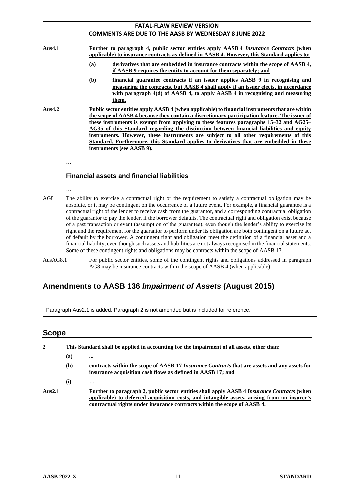|          | <b>FATAL-FLAW REVIEW VERSION</b>                                                                                                                                                                                                                                                                                                                                                                                                                                                                                                                                                                      |
|----------|-------------------------------------------------------------------------------------------------------------------------------------------------------------------------------------------------------------------------------------------------------------------------------------------------------------------------------------------------------------------------------------------------------------------------------------------------------------------------------------------------------------------------------------------------------------------------------------------------------|
|          | <b>COMMENTS ARE DUE TO THE AASB BY WEDNESDAY 8 JUNE 2022</b>                                                                                                                                                                                                                                                                                                                                                                                                                                                                                                                                          |
| Aus4.1   | Further to paragraph 4, public sector entities apply AASB 4 <i>Insurance Contracts</i> (when<br>applicable) to insurance contracts as defined in AASB 4. However, this Standard applies to:                                                                                                                                                                                                                                                                                                                                                                                                           |
|          | derivatives that are embedded in insurance contracts within the scope of AASB 4,<br>(a)<br>if AASB 9 requires the entity to account for them separately; and                                                                                                                                                                                                                                                                                                                                                                                                                                          |
|          | financial guarantee contracts if an issuer applies AASB 9 in recognising and<br><u>(b)</u><br>measuring the contracts, but AASB 4 shall apply if an issuer elects, in accordance<br>with paragraph $4(d)$ of AASB 4, to apply AASB 4 in recognising and measuring<br>them.                                                                                                                                                                                                                                                                                                                            |
| Aus4.2   | Public sector entities apply AASB 4 (when applicable) to financial instruments that are within<br>the scope of AASB 4 because they contain a discretionary participation feature. The issuer of<br>these instruments is exempt from applying to these features paragraphs 15–32 and AG25–<br>AG35 of this Standard regarding the distinction between financial liabilities and equity<br>instruments. However, these instruments are subject to all other requirements of this<br>Standard. Furthermore, this Standard applies to derivatives that are embedded in these<br>instruments (see AASB 9). |
| $\cdots$ |                                                                                                                                                                                                                                                                                                                                                                                                                                                                                                                                                                                                       |

#### **Financial assets and financial liabilities**

…

AG8 The ability to exercise a contractual right or the requirement to satisfy a contractual obligation may be absolute, or it may be contingent on the occurrence of a future event. For example, a financial guarantee is a contractual right of the lender to receive cash from the guarantor, and a corresponding contractual obligation of the guarantor to pay the lender, if the borrower defaults. The contractual right and obligation exist because of a past transaction or event (assumption of the guarantee), even though the lender's ability to exercise its right and the requirement for the guarantor to perform under its obligation are both contingent on a future act of default by the borrower. A contingent right and obligation meet the definition of a financial asset and a financial liability, even though such assets and liabilities are not always recognised in the financial statements. Some of these contingent rights and obligations may be contracts within the scope of AASB 17.

AusAG8.1 For public sector entities, some of the contingent rights and obligations addressed in paragraph AG8 may be insurance contracts within the scope of AASB 4 (when applicable).

# **Amendments to AASB 136** *Impairment of Assets* **(August 2015)**

Paragraph Aus2.1 is added. Paragraph 2 is not amended but is included for reference.

| 2      | This Standard shall be applied in accounting for the impairment of all assets, other than: |                                                                                                                                                                                                                                                                        |
|--------|--------------------------------------------------------------------------------------------|------------------------------------------------------------------------------------------------------------------------------------------------------------------------------------------------------------------------------------------------------------------------|
|        | (a)                                                                                        |                                                                                                                                                                                                                                                                        |
|        | (h)                                                                                        | contracts within the scope of AASB 17 <i>Insurance Contracts</i> that are assets and any assets for<br>insurance acquisition cash flows as defined in AASB 17; and                                                                                                     |
|        | (i)                                                                                        | $\ddotsc$                                                                                                                                                                                                                                                              |
| Aus2.1 |                                                                                            | Further to paragraph 2, public sector entities shall apply AASB 4 Insurance Contracts (when<br>applicable) to deferred acquisition costs, and intangible assets, arising from an insurer's<br>contractual rights under insurance contracts within the scope of AASB 4. |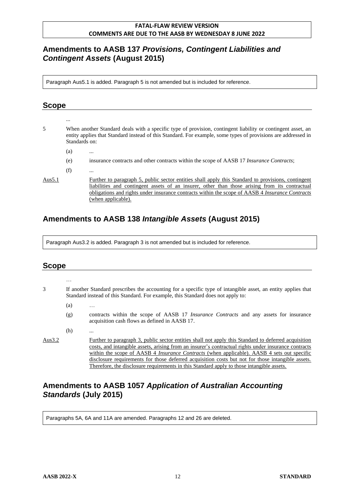# **Amendments to AASB 137** *Provisions, Contingent Liabilities and Contingent Assets* **(August 2015)**

Paragraph Aus5.1 is added. Paragraph 5 is not amended but is included for reference.

## **Scope**

... 5 When another Standard deals with a specific type of provision, contingent liability or contingent asset, an entity applies that Standard instead of this Standard. For example, some types of provisions are addressed in Standards on:  $(a)$ (e) insurance contracts and other contracts within the scope of AASB 17 *Insurance Contracts*;  $(f)$ Aus5.1 Further to paragraph 5, public sector entities shall apply this Standard to provisions, contingent liabilities and contingent assets of an insurer, other than those arising from its contractual obligations and rights under insurance contracts within the scope of AASB 4 *Insurance Contracts* (when applicable).

# **Amendments to AASB 138** *Intangible Assets* **(August 2015)**

Paragraph Aus3.2 is added. Paragraph 3 is not amended but is included for reference.

### **Scope**

|           | .                                                                                                                                                                                                 |                                                                                                                                                                                                                                                                                                                   |
|-----------|---------------------------------------------------------------------------------------------------------------------------------------------------------------------------------------------------|-------------------------------------------------------------------------------------------------------------------------------------------------------------------------------------------------------------------------------------------------------------------------------------------------------------------|
| 3         | If another Standard prescribes the accounting for a specific type of intangible asset, an entity applies that<br>Standard instead of this Standard. For example, this Standard does not apply to: |                                                                                                                                                                                                                                                                                                                   |
|           | (a)                                                                                                                                                                                               | $\cdots$                                                                                                                                                                                                                                                                                                          |
|           | (g)                                                                                                                                                                                               | contracts within the scope of AASB 17 <i>Insurance Contracts</i> and any assets for insurance<br>acquisition cash flows as defined in AASB 17.                                                                                                                                                                    |
|           | (h)                                                                                                                                                                                               |                                                                                                                                                                                                                                                                                                                   |
| Aus $3.2$ |                                                                                                                                                                                                   | Further to paragraph 3, public sector entities shall not apply this Standard to deferred acquisition<br>costs, and intangible assets, arising from an insurer's contractual rights under insurance contracts<br>within the scope of AASB 4 <i>Insurance Contracts</i> (when applicable). AASB 4 sets out specific |

disclosure requirements for those deferred acquisition costs but not for those intangible assets.

Therefore, the disclosure requirements in this Standard apply to those intangible assets.

# **Amendments to AASB 1057** *Application of Australian Accounting Standards* **(July 2015)**

Paragraphs 5A, 6A and 11A are amended. Paragraphs 12 and 26 are deleted.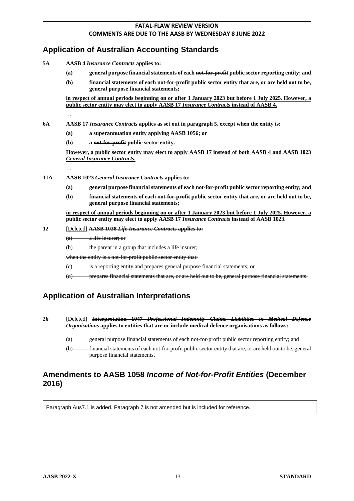# **Application of Australian Accounting Standards**

- **5A AASB 4** *Insurance Contracts* **applies to:**
	- **(a) general purpose financial statements of each not-for-profit public sector reporting entity; and**
	- **(b) financial statements of each not-for-profit public sector entity that are, or are held out to be, general purpose financial statements;**

**in respect of annual periods beginning on or after 1 January 2023 but before 1 July 2025. However, a public sector entity may elect to apply AASB 17** *Insurance Contracts* **instead of AASB 4.**

…

- **6A AASB 17** *Insurance Contracts* **applies as set out in paragraph 5, except when the entity is:**
	- **(a) a superannuation entity applying AASB 1056; or**
	- **(b) a not-for-profit public sector entity.**

**However, a public sector entity may elect to apply AASB 17 instead of both AASB 4 and AASB 1023**  *General Insurance Contracts***.**

…

- **11A AASB 1023** *General Insurance Contracts* **applies to:**
	- **(a) general purpose financial statements of each not-for-profit public sector reporting entity; and**
	- **(b) financial statements of each not-for-profit public sector entity that are, or are held out to be, general purpose financial statements;**

**in respect of annual periods beginning on or after 1 January 2023 but before 1 July 2025. However, a public sector entity may elect to apply AASB 17** *Insurance Contracts* **instead of AASB 1023.**

**12** [Deleted] **AASB 1038** *Life Insurance Contracts* **applies to:**

 $(a)$  a life insurer; or

(b) the parent in a group that includes a life insurer;

when the entity is a not-for-profit public sector entity that:

(c) is a reporting entity and prepares general purpose financial statements; or

(d) prepares financial statements that are, or are held out to be, general purpose financial statements.

# **Application of Australian Interpretations**

…

**26** [Deleted] **Interpretation 1047** *Professional Indemnity Claims Liabilities in Medical Defence Organisations* **applies to entities that are or include medical defence organisations as follows:**

(a) general purpose financial statements of each not-for-profit public sector reporting entity; and

(b) financial statements of each not-for-profit public sector entity that are, or are held out to be, general purpose financial statements.

### **Amendments to AASB 1058** *Income of Not-for-Profit Entities* **(December 2016)**

Paragraph Aus7.1 is added. Paragraph 7 is not amended but is included for reference.